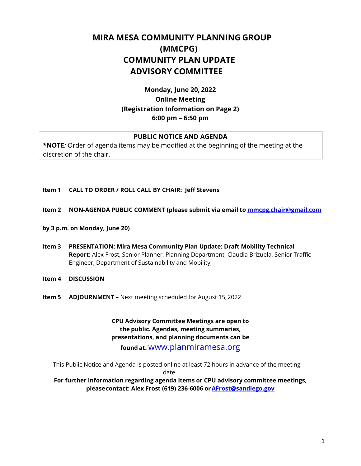# **MIRA MESA COMMUNITY PLANNING GROUP (MMCPG) COMMUNITY PLAN UPDATE ADVISORY COMMITTEE**

# **Monday, June 20, 2022 Online Meeting (Registration Information on Page 2) 6:00 pm – 6:50 pm**

# **PUBLIC NOTICE AND AGENDA**

**\*NOTE***:* Order of agenda items may be modified at the beginning of the meeting at the discretion of the chair.

#### **Item 1 CALL TO ORDER / ROLL CALL BY CHAIR: Jeff Stevens**

#### **Item 2 NON-AGENDA PUBLIC COMMENT (please submit via email to [mmcpg.chair@gmail.com](mailto:mmcpg.chair@gmail.com)**

- **by 3 p.m. on Monday, June 20)**
- **Item 3 PRESENTATION: Mira Mesa Community Plan Update: Draft Mobility Technical Report:** Alex Frost, Senior Planner, Planning Department, Claudia Brizuela, Senior Traffic Engineer, Department of Sustainability and Mobility,
- **Item 4 DISCUSSION**
- **Item 5 ADJOURNMENT –** Next meeting scheduled for August 15, 2022

**CPU Advisory Committee Meetings are open to the public. Agendas, meeting summaries, presentations, and planning documents can be** 

**found at:** [www.planmiramesa.org](http://www.planmiramesa.org/)

This Public Notice and Agenda is posted online at least 72 hours in advance of the meeting

date.

**For further information regarding agenda items or CPU advisory committee meetings, pleasecontact: Alex Frost (619) 236-6006 o[rAFrost@sandiego.gov](mailto:AFrost@sandiego.gov)**